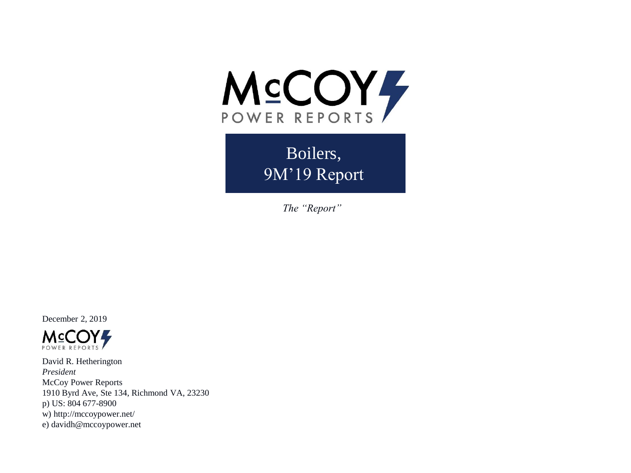

Boilers, 9M'19 Report

*The "Report"*

December 2, 2019



David R. Hetherington *President* McCoy Power Reports 1910 Byrd Ave, Ste 134, Richmond VA, 23230 p) US: 804 677-8900 w) http://mccoypower.net/ e) davidh@mccoypower.net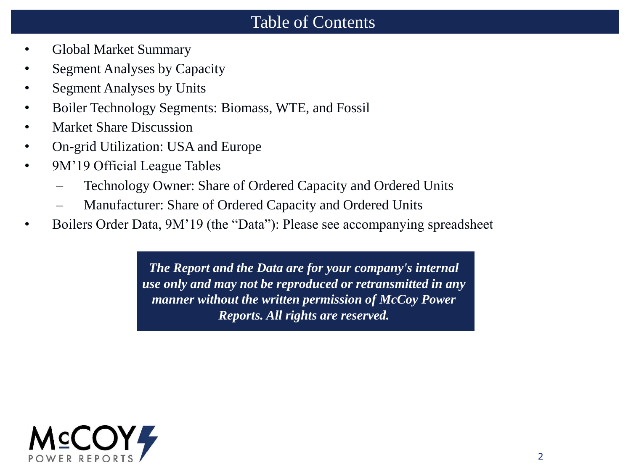### Table of Contents

- Global Market Summary
- Segment Analyses by Capacity
- Segment Analyses by Units
- Boiler Technology Segments: Biomass, WTE, and Fossil
- Market Share Discussion
- On-grid Utilization: USA and Europe
- 9M'19 Official League Tables
	- Technology Owner: Share of Ordered Capacity and Ordered Units
	- Manufacturer: Share of Ordered Capacity and Ordered Units
- Boilers Order Data, 9M'19 (the "Data"): Please see accompanying spreadsheet

*The Report and the Data are for your company's internal use only and may not be reproduced or retransmitted in any manner without the written permission of McCoy Power Reports. All rights are reserved.*

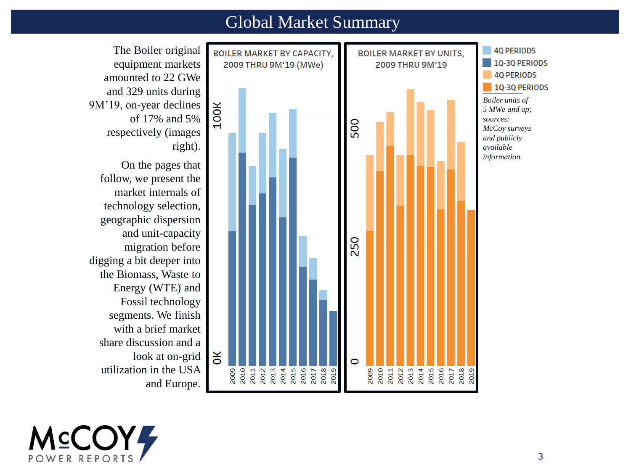#### Global Market Summary



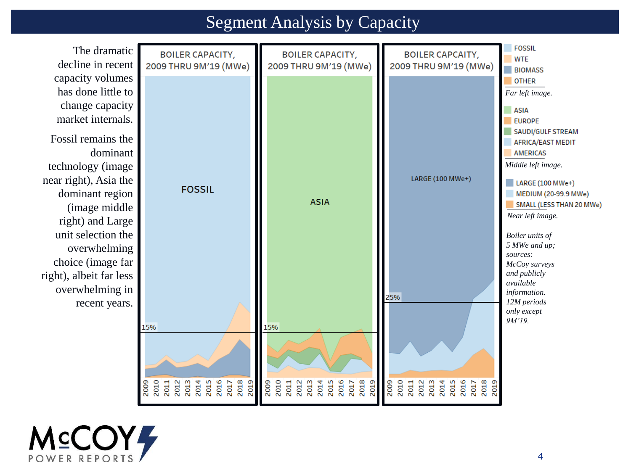## Segment Analysis by Capacity



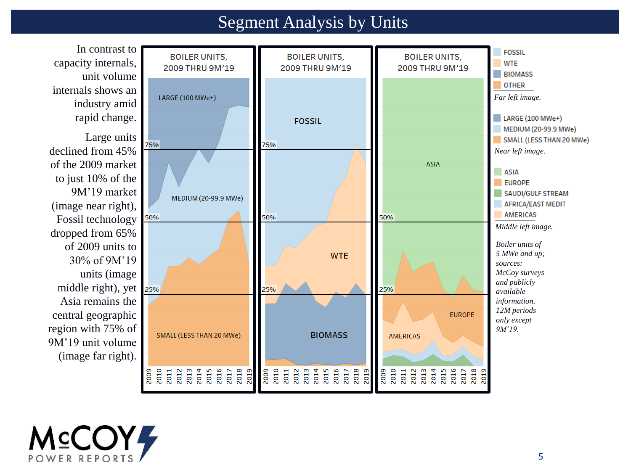## Segment Analysis by Units

In contrast to **FOSSIL BOILER UNITS, BOILER UNITS, BOILER UNITS,** capacity internals, **WTE** 2009 THRU 9M'19 2009 THRU 9M'19 2009 THRU 9M'19 a s **BIOMASS** unit volume *\_\_\_\_\_\_\_\_\_\_* internals shows an LARGE  $(100 \text{ MWe+})$ *Far left image.* industry amid rapid change.  $\blacksquare$  LARGE (100 MWe+) **FOSSIL** MEDIUM (20-99.9 MWe) Large units SMALL (LESS THAN 20 MWe) 75% 75% declined from 45% *Near left image.* of the 2009 market **ASIA ASIA** to just 10% of the **EUROPE** 9M'19 market **SAUDI/GULF STREAM** MEDIUM (20-99.9 MWe) (image near right), AFRICA/EAST MEDIT *\_\_\_\_\_\_\_\_\_\_* 50% 50% 50% Fossil technology *Middle left image.*dropped from 65% of 2009 units to *Boiler units of 5 MWe and up;*  **WTE** 30% of 9M'19 *sources: McCoy surveys*  units (image *and publicly*  middle right), yet 25% 25% 25% *available*  Asia remains the *information. 12M periods*  central geographic **EUROPE** *only except*  region with 75% of *9M'19.* SMALL (LESS THAN 20 MWe) **BIOMASS AMERICAS** 9M'19 unit volume (image far right). 2009<br>2011 2013<br>2013 2013 2015<br>2016 2016 2017<br>2018 2018 2010<br>2011 2013<br>2013 2015 2016<br>2015 2016 2017 2009 2010<br>2011<br>2013<br>2014<br>2014 2015<br>2017<br>2017<br>2018 2009 2019 2019 2019

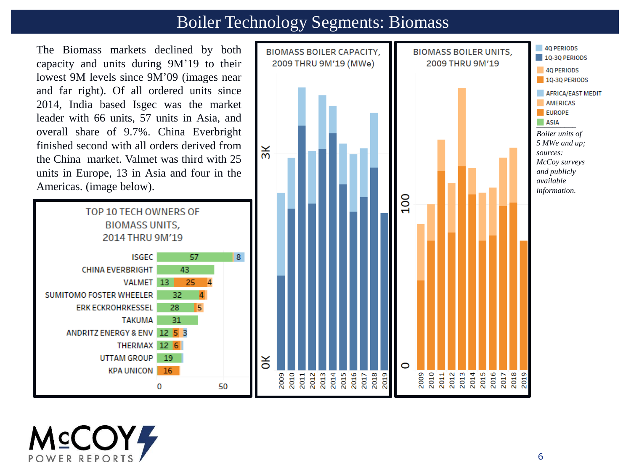### Boiler Technology Segments: Biomass

The Biomass markets declined by both capacity and units during 9M'19 to their lowest 9M levels since 9M'09 (images near and far right). Of all ordered units since 2014, India based Isgec was the market leader with 66 units, 57 units in Asia, and overall share of 9.7%. China Everbright finished second with all orders derived from the China market. Valmet was third with 25 units in Europe, 13 in Asia and four in the Americas. (image below).





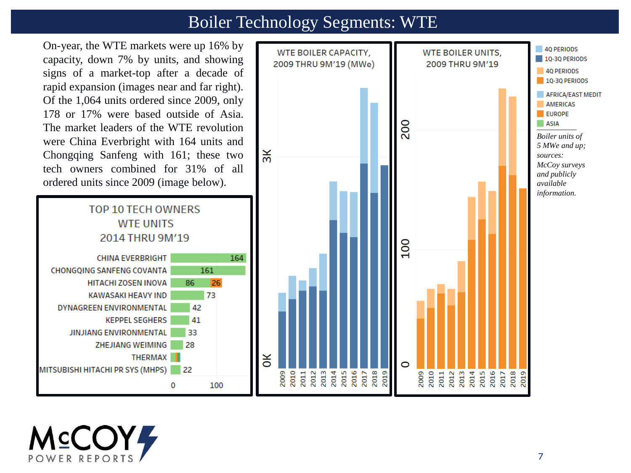## Boiler Technology Segments: WTE

On-year, the WTE markets were up 16% by capacity, down 7% by units, and showing signs of a market-top after a decade of rapid expansion (images near and far right). Of the 1,064 units ordered since 2009, only 178 or 17% were based outside of Asia. The market leaders of the WTE revolution were China Everbright with 164 units and Chongqing Sanfeng with 161; these two tech owners combined for 31% of all ordered units since 2009 (image below).





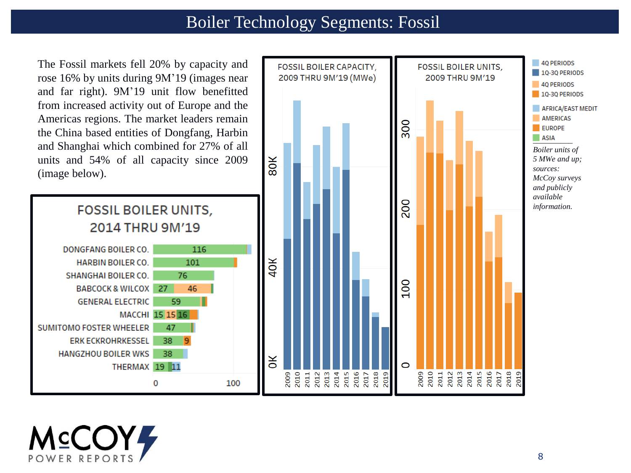## Boiler Technology Segments: Fossil

The Fossil markets fell 20% by capacity and rose 16% by units during 9M'19 (images near and far right). 9M'19 unit flow benefitted from increased activity out of Europe and the Americas regions. The market leaders remain the China based entities of Dongfang, Harbin and Shanghai which combined for 27% of all units and 54% of all capacity since 2009 (image below).



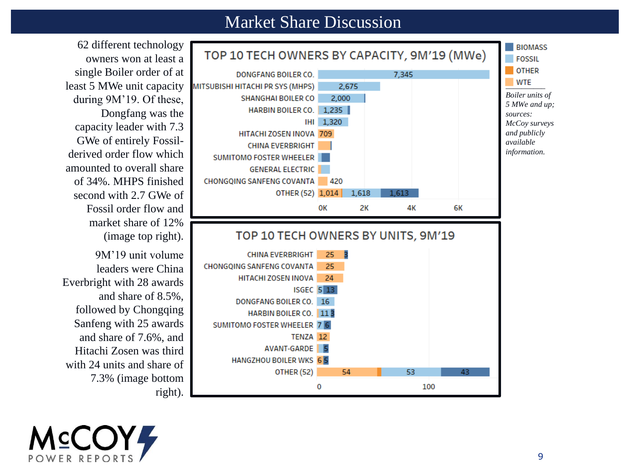#### Market Share Discussion





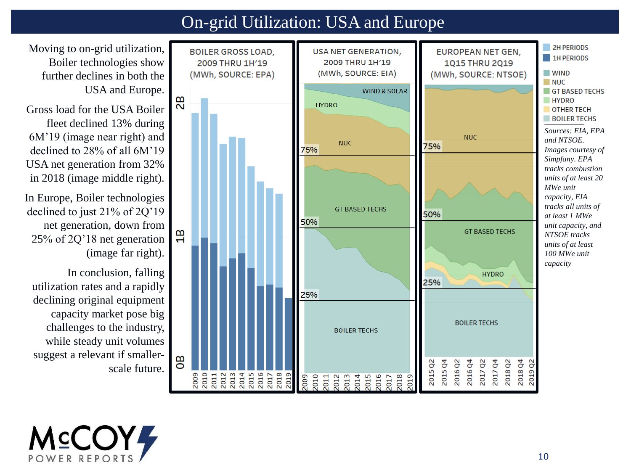## On-grid Utilization: USA and Europe

Moving to on-grid utilization, Boiler technologies show further declines in both the USA and Europe.

Gross load for the USA Boiler fleet declined 13% during 6M'19 (image near right) and declined to 28% of all 6M'19 USA net generation from 32% in 2018 (image middle right).

In Europe, Boiler technologies declined to just 21% of 2Q'19 net generation, down from 25% of 2Q'18 net generation (image far right).

In conclusion, falling utilization rates and a rapidly declining original equipment capacity market pose big challenges to the industry, while steady unit volumes suggest a relevant if smallerscale future.



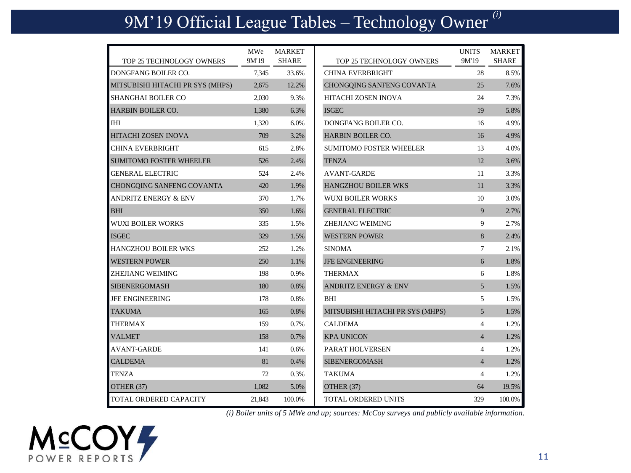# 9M'19 Official League Tables – Technology Owner *(i)*

|                                  | MWe    | <b>MARKET</b> |                                  | <b>UNITS</b>   | <b>MARKET</b> |
|----------------------------------|--------|---------------|----------------------------------|----------------|---------------|
| TOP 25 TECHNOLOGY OWNERS         | 9M'19  | <b>SHARE</b>  | TOP 25 TECHNOLOGY OWNERS         | 9M'19          | <b>SHARE</b>  |
| DONGFANG BOILER CO.              | 7.345  | 33.6%         | <b>CHINA EVERBRIGHT</b>          | 28             | 8.5%          |
| MITSUBISHI HITACHI PR SYS (MHPS) | 2,675  | 12.2%         | CHONGQING SANFENG COVANTA        | 25             | 7.6%          |
| <b>SHANGHAI BOILER CO</b>        | 2.030  | 9.3%          | <b>HITACHI ZOSEN INOVA</b>       | 24             | 7.3%          |
| <b>HARBIN BOILER CO.</b>         | 1,380  | 6.3%          | <b>ISGEC</b>                     | 19             | 5.8%          |
| <b>IHI</b>                       | 1,320  | 6.0%          | DONGFANG BOILER CO.              | 16             | 4.9%          |
| HITACHI ZOSEN INOVA              | 709    | 3.2%          | <b>HARBIN BOILER CO.</b>         | 16             | 4.9%          |
| <b>CHINA EVERBRIGHT</b>          | 615    | 2.8%          | <b>SUMITOMO FOSTER WHEELER</b>   | 13             | 4.0%          |
| <b>SUMITOMO FOSTER WHEELER</b>   | 526    | 2.4%          | <b>TENZA</b>                     | 12             | 3.6%          |
| <b>GENERAL ELECTRIC</b>          | 524    | 2.4%          | <b>AVANT-GARDE</b>               | 11             | 3.3%          |
| CHONGQING SANFENG COVANTA        | 420    | 1.9%          | <b>HANGZHOU BOILER WKS</b>       | 11             | 3.3%          |
| ANDRITZ ENERGY & ENV             | 370    | 1.7%          | <b>WUXI BOILER WORKS</b>         | 10             | 3.0%          |
| <b>BHI</b>                       | 350    | 1.6%          | <b>GENERAL ELECTRIC</b>          | 9              | 2.7%          |
| <b>WUXI BOILER WORKS</b>         | 335    | 1.5%          | ZHEJIANG WEIMING                 | 9              | 2.7%          |
| <b>ISGEC</b>                     | 329    | 1.5%          | <b>WESTERN POWER</b>             | 8              | 2.4%          |
| <b>HANGZHOU BOILER WKS</b>       | 252    | 1.2%          | <b>SINOMA</b>                    | $\tau$         | 2.1%          |
| <b>WESTERN POWER</b>             | 250    | 1.1%          | <b>JFE ENGINEERING</b>           | 6              | 1.8%          |
| <b>ZHEJIANG WEIMING</b>          | 198    | 0.9%          | <b>THERMAX</b>                   | 6              | 1.8%          |
| <b>SIBENERGOMASH</b>             | 180    | 0.8%          | <b>ANDRITZ ENERGY &amp; ENV</b>  | $\overline{5}$ | 1.5%          |
| <b>JFE ENGINEERING</b>           | 178    | 0.8%          | <b>BHI</b>                       | 5              | 1.5%          |
| <b>TAKUMA</b>                    | 165    | 0.8%          | MITSUBISHI HITACHI PR SYS (MHPS) | 5              | 1.5%          |
| <b>THERMAX</b>                   | 159    | 0.7%          | <b>CALDEMA</b>                   | $\overline{4}$ | 1.2%          |
| <b>VALMET</b>                    | 158    | 0.7%          | <b>KPA UNICON</b>                | $\overline{4}$ | 1.2%          |
| AVANT-GARDE                      | 141    | 0.6%          | <b>PARAT HOLVERSEN</b>           | 4              | 1.2%          |
| <b>CALDEMA</b>                   | 81     | 0.4%          | <b>SIBENERGOMASH</b>             | $\overline{4}$ | 1.2%          |
| <b>TENZA</b>                     | 72     | 0.3%          | TAKUMA                           | 4              | 1.2%          |
| OTHER (37)                       | 1,082  | 5.0%          | OTHER (37)                       | 64             | 19.5%         |
| <b>TOTAL ORDERED CAPACITY</b>    | 21,843 | 100.0%        | <b>TOTAL ORDERED UNITS</b>       | 329            | 100.0%        |

*(i) Boiler units of 5 MWe and up; sources: McCoy surveys and publicly available information.*